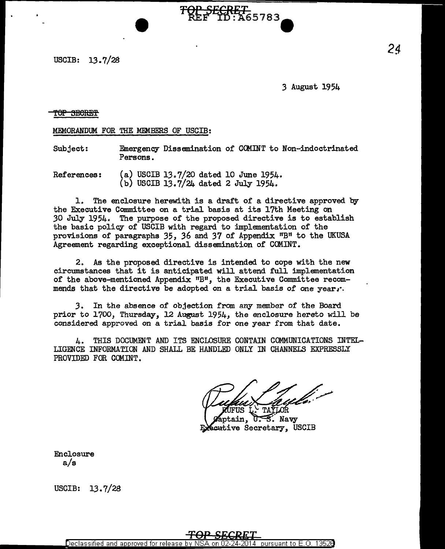USCIB: 13.7/28

3 August 1954

5783

### TOP SECRET

### MEMORANDUM FOR THE MEMBERS OF USCIB:

Subject: Emergency Dissemination of CCMINT to Non-indoctrinated Persons.

References: (a) USCIB 13.7/20 dated 10 June 1954. (b) USCIB 13.7/24 dated 2 July 1954.

1. The enclosure herewith is a draft of a directive approved by the Executive Committee on a trial basis at its 17th Meeting on *30* July 1954. The purpose of the proposed directive is to establish the basic policy of USCIB with regard to implementation of the provisions of paragraphs 35, 36 and 37 of Appendix "B" to the UKUSA Agreement regarding exceptional dissemination of COMINT.

2. As the proposed directive is intended to cope with the new circumstances that it is anticipated will attend full implementation of the above-mentioned Appendix "B", the Executive Committee recommends that the directive be adopted on a trial basis of one year,  $\cdot$ .

*3.* In the absence of ob,1ection from any member of the Board prior to 1700, Thursday, 12 August 1954, the enclosure hereto will be considered approved on a trial basis for one year from that date.

4. THIS DOCUMENT AND ITS ENCLOSURE CONTAIN COMMUNICATIONS INTEL-LIGENCE INFORMATION AND SHALL BE HANDLED ONLY IN CHANNELS EXPRESSLY PROVIDED FOR COMINT.

FUS

ptain, `  $0.5.$  Navy **Reative Secretary, USCIB** 

Enclosure a/s

USCIB: 13. 7/28

Declassified and approved for release pursuant to  $\mathsf{E}.\mathsf{O}.$  1352(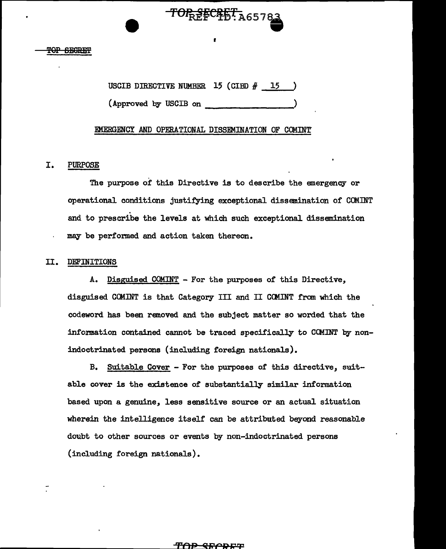USCIB DIRECTIVE NUMBER  $15$  (CIBD  $#$  15 ) (Approved by USCIB on )

I

TOPREFCRET, A65783

# EMERGENCY AND OPERATIONAL DISSEMINATION OF COMINT'

# I. PURPOSE

The purpose of this Directive is to describe the emergency or operational conditions justifying exceptional dissemination of CCMINT and to prescribe the levels at which such exceptional dissemination may be performed and action taken thereon.

# II. DEFINITIONS

A. Disguised COMINT - For the purposes of this Directive, disguised CClUNT is that Category III and II CCMINT from which the codeword has been removed and the subject matter so worded that the information contained cannot be traced specifically to CCMINT by nonindoctrinated persons (including foreign nationals).

B. Suitable Cover - For the purposes of this directive, suitable cover is the existence of substantially similar information based upon a genuine, less sensitive source or an actual situation wherein the intelligence itself can be attributed beyond reasonable doubt to other sources or events by non-indoctrinated persons (including foreign nationals).

#### ቸ<del>ሰ</del>ዎ <del>QFICRET</del>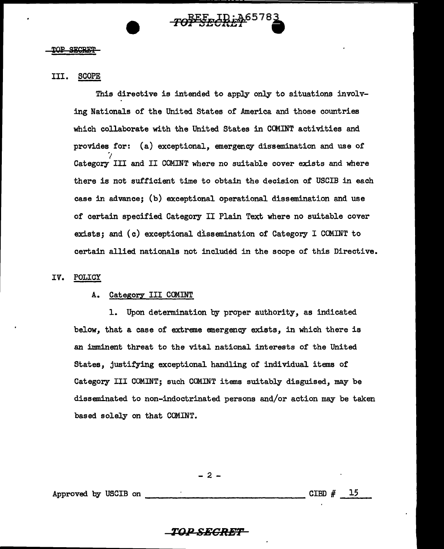#### **TOP SECRET**

# III. SCOPE

This directive is intended to apply only to situations involving Nationals of the United States of America and those countries which collaborate with the United States in CCMINT activities and provides for: (a) exceptional, emergency dissemination and use of ·; Category III and II COMINT where no suitable cover exists and where there is not sufficient time to obtain the decision of USCIB in each case in advance; (b) exceptional operational dissemination and use of certain specified Category II Plain Text where no suitable cover exists; and (c) exceptional dissemination of Category I COMINT to certain allied nationals not included in the scope of this Directive.

#### IV. POLICY

#### A. Category III COMINT

1. Upon determination by proper authority, as indicated below, that a case of extreme emergency exists, in which there is an imminent threat to the vital national interests of the United States, justifying exceptional handling of individual items of Category III COMINT; such COMINT items suitably disguised, may be disseminated to non-indoctrinated persons and/or action may be taken based solely on that COMINT.

- 2 -

Approved by USCIB on  $\frac{1}{2}$  =  $\frac{15}{2}$ 

# $\overline{TOPSEGRET}$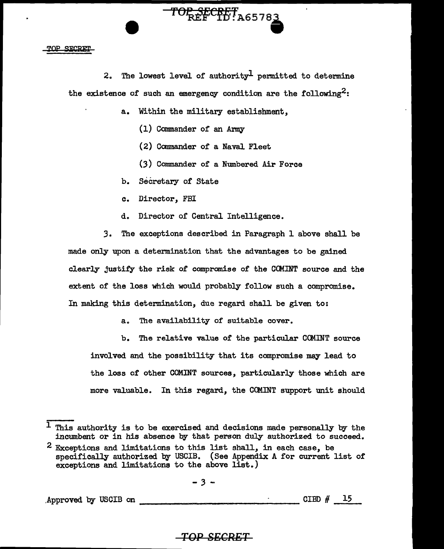#### TOP STORET

2. The lowest level of authority<sup>1</sup> permitted to determine the existence of such an emergency condition are the following<sup>2</sup>:

TOP SECRET A65783

a. Within the military establishment,

(1) Commander of an Army

(2) Commander of a Naval Fleet

(3) Commander of a Numbered Air Force

b. Secretary of State

c. Director, FBI

d. Director of Central Intelligence.

3. The exceptions described in Paragraph 1 above shall be made only upon a determination that the advantages to be gained clearly justify the risk of compromise of the CCMINT source and the extent of the loss which would probably follow such a compromise. In making this determination, due regard shall be given to:

a. The availability of suitable cover.

b. The relative value of the particular CCMINT source involved and the possibility that its compromise may lead to the loss or other COMINT sources, particularly those which are more valuable. In this regard, the CCMINT support unit should

 $-3 -$ 

.Approved by USCIB on  $\frac{5}{15}$ 

# **TOP SECRET**

 $1$  This authority is to be exercised and decisions made personally by the incumbent or in his absence by that person duly authorized to succeed.

 $^2$  Exceptions and limitations to this list shall, in each case, be specifically authorized by USCIB. (See Appendix A for current list of exceptions and limitations to the above list.)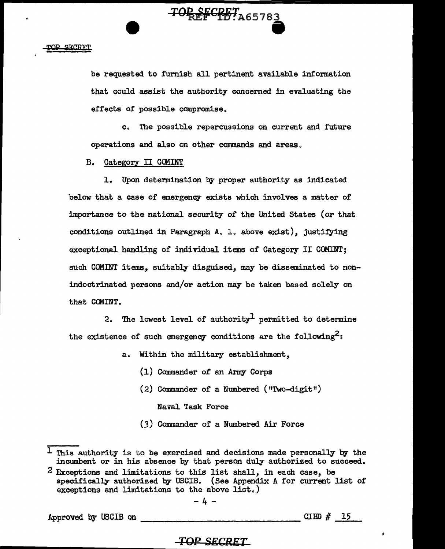be requested. to furnish all pertinent available information that could assist the authority concerned in evaluating the effects of possible compromise.

TOP SECRET A65783

c. The possible repercussions on current and future operations and also on other commands and areas.

B. Category II CCMINT

1. Upon determination by proper authority as indicated below that a case of emergency exists which involves a matter of importance to the national security of the United States (or that conditions outlined in Paragraph A. 1. above exist), justifying exceptional handling of individual items of Category II COMINT; such COMINT items, suitably disguised, may be disseminated to nonindoctrinated persons and/or action may be taken based solely on that CCMINT.

2. The lowest level of authority<sup>1</sup> permitted to determine the existence of such emergency conditions are the following<sup>2</sup>:

- a. Within the military establishment,
	- {l) Commander of an Army Corps
	- (2) Commander of a Numbered ("Two-digit") Naval Task Force
	- (3) Commander of a Numbered Air Force

-4-

Approved by USCIB on --------------CIBD II <sup>15</sup>

÷

# *TOP SECRET*

 $1$  This authority is to be exercised and decisions made personally by the incumbent or in his absence by that person duly authorized to succeed.

<sup>2</sup> Exceptions and limitations to this list shall, in each case, be specifically authorized by USCIB. (See Appendix A for current list of exceptions and limitations to the above list.)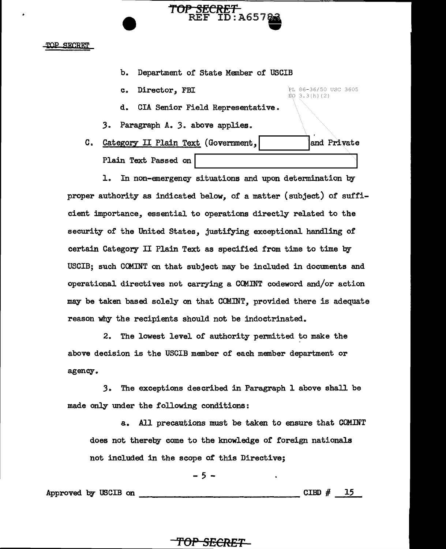#### TOP SECRET

b. Department of State Member of USCIB

**TOt' SECRET** 

REF ID: A657.

PL 86-36/50 USC 3605

 $EQ = 3.3(h)(2)$ 

- c. Director, FBI
- d. CIA Senior Field Representative.
- *3.* Paragraph A. *3.* above applies.
- C. Category II Plain Text (Government, I .... \_\_\_\_ ..... l~d Private

Plain Text Passed on

1. In non-emergency situations and upon determination by proper authority as indicated below, of a matter (subject) of sufficient importance, essential to operations directly related to the security of the United States, justifying exceptional handling of certain Category II Plain Text as specified from time to time by USCIB; such COMINT on that subject may be included in documents and operational directives not carrying a COMINT codeword and/or action may be taken based solely on that COMINT, provided there is adequate reason why the recipients should not be indoctrinated.

2. The lowest level of authority permitted to make the above decision is the USCIB member of each member department or agency ..

3. The exceptions described in Paragraph 1 above shall be made only under the following conditions:

a. All precautions must be taken to ensure that COM.INT does not thereby come to the knowledge of foreign nationals not included in the scope *ot* this Directive;

$$
-5 -
$$

Approved by USCIB on  $\frac{2}{3}$  -  $\frac{1}{3}$  CIBD #  $\frac{15}{3}$ 

# **'fOP SECRET**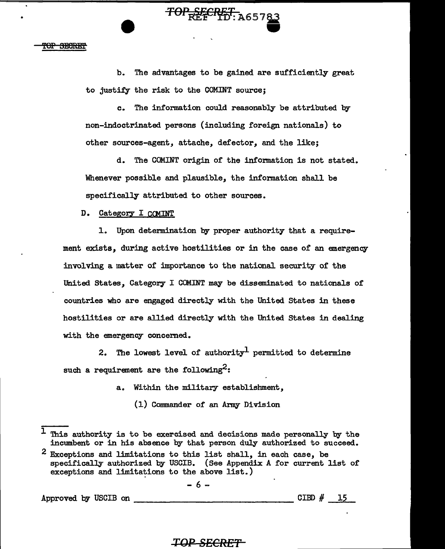'<del>OP SECRET</del>

b. The advantages to be gained are sufficiently great to justify the risk to the OOMINT source;

**83** 

c. The information could reasonably be attributed by non-indoctrinated persons (including foreign nationals) to other sources-agent, attache, defector, and the like;

d. The OOMINT origin of the information is not stated. Whenever possible and plausible, the information shall be specifically attributed to other sources.

D. Category I CCMINT

 $\frac{1}{100}$   $\frac{1}{100}$   $\frac{1}{100}$   $\frac{1}{100}$   $\frac{1}{100}$   $\frac{1}{100}$   $\frac{1}{100}$   $\frac{1}{100}$   $\frac{1}{100}$   $\frac{1}{100}$   $\frac{1}{100}$   $\frac{1}{100}$   $\frac{1}{100}$   $\frac{1}{100}$   $\frac{1}{100}$   $\frac{1}{100}$   $\frac{1}{100}$   $\frac{1}{100}$   $\frac{1$ 

1. Upon determination by proper authority that a requirement exists, during active hostilities or in the case of an emergency involving a matter of importance to the national security of the United States, Category I COMINT may be disseminated to nationals of countries who are engaged directly with the United States in these hostilities or are allied directly with the United States in dealing with the emergency concerned.

2. The lowest level of authority<sup>1</sup> permitted to determine such a requirement are the following<sup>2</sup>:

a. Within the military establishment,

(1) Commander of an Anny Division

- 6 -

Approved by USCIB on --------------- CIBD # \_l\_.5..\_\_

# *TOP SECRET*

 $\frac{1}{1}$  This authority is to be exercised and decisions made personally by the incumbent or in his absence by that person duly authorized to succeed.

<sup>2</sup> Exceptions and limitations to this list shall, in each case, be specifically authorized by USCIB. (See Appendix A for current list of exceptions and limitations to the above list.)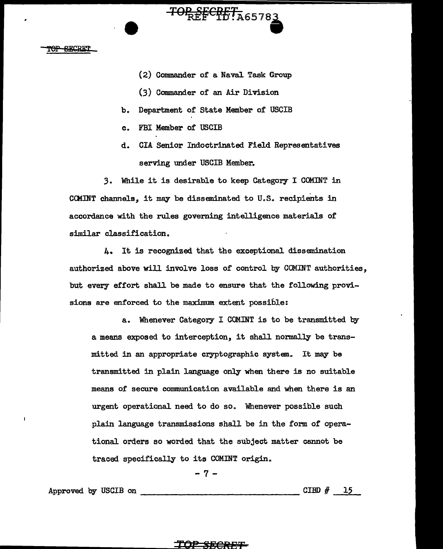# **SECRET**

(2) Commander or a Nava1 Task Group

TOP SECRET A65783

- (3) Commander of an Air Division
- b. Department of State Member of USCIB
- c. FBI Member of USCIB
- d. CIA Senior Indoctrinated Field Representatives serving under USCIB Member.

*3.* Whi1e it is desirable to keep Category I COMINT in COUNT channels, it may be disseminated to U.S. recipients in accordance with the rules governing intelligence materials of similar classification.

4. It is recognized that the exceptional. dissemination authorized above will involve loss of control by COMINT authorities, but every effort shall be made to ensure that the following provisions are enforced to the maximum extent possible:

a. Whenever Category I COMINT is to be transmitted by a means exposed to interception, it shall normally be transmitted in an appropriate cryptographic system. It may be transmitted in plain 1anguage only when there is no suitab1e means of' secure communication available and when there is an urgent operational need to do so. Whenever possible such plain language transmissions shall be in the form of operational orders so worded that the subject matter cannot be traced specifically to its COMINT origin.

-7-

Approved by USCIB on --------------- CIBD # <sup>15</sup>

# *ror* **SECRB'F**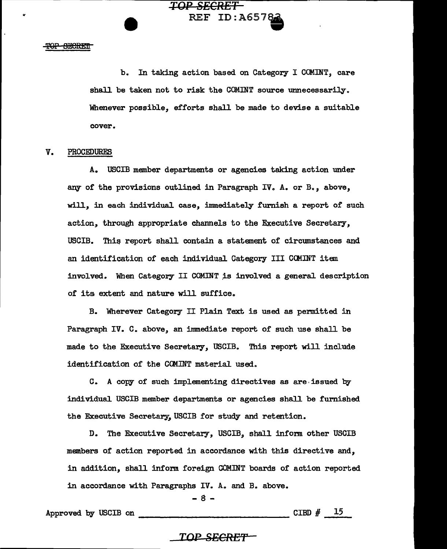#### TOP SECRET

"

b. In taking action based on Category I COMINT, care shall be taken not to risk the COMINT source unnecessarily. Whenever possible, efforts shall be made to devise a suitable cover.

REF ID:A65783

**TOP SECRET** 

### V. PROCEDURES

A. USCIB member departments or agencies taking action under any of the provisions outlined in Paragraph IV. A. or B., above, will, in each individual case, immediately furnish a report of such action, through appropriate channels to the Executive Secretary, USCIB. This report shall contain a statement of circumstances and an identification of each individual Category III COMINT item involved. When Category II COMINT is involved a general description of its extent and nature will suffice.

B. 'Wherever Category II Plain Text is used as permitted in Paragraph IV. C. above, an immediate report of such use shall be made to the Executive Secretary, USCIB. This report will include identification of the CCMINT material used.

C. A copy of such implementing directives as are· issued by individual USCIB member departments or agencies shall be furnished the Executive Secretary, USCIB for study and retention.

D. The Executive Secretary, USCIB, shall inform other USCIB members of action reported in accordance with this directive and, in addition, shall inform foreign COMINT boards of action reported in accordance with Paragraphs IV. A. and B. above.

- 8 -

Approved by USCm on -------------- CIBD # <sup>15</sup>

# *TOP* **SECR£'f'**